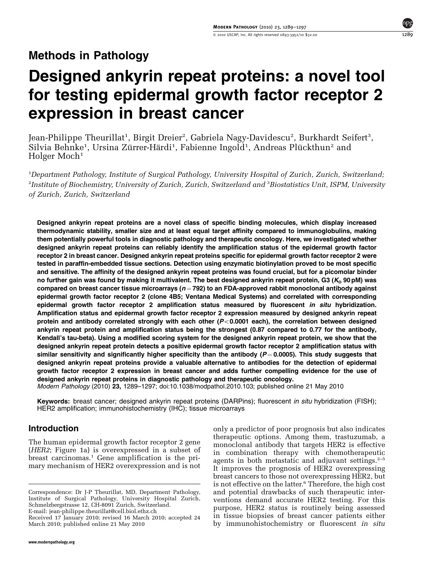# Designed ankyrin repeat proteins: a novel tool for testing epidermal growth factor receptor 2 expression in breast cancer

Jean-Philippe Theurillat<sup>1</sup>, Birgit Dreier<sup>2</sup>, Gabriela Nagy-Davidescu<sup>2</sup>, Burkhardt Seifert<sup>3</sup>, Silvia Behnke<sup>1</sup>, Ursina Zürrer-Härdi<sup>1</sup>, Fabienne Ingold<sup>1</sup>, Andreas Plückthun<sup>2</sup> and Holger Moch<sup>1</sup>

1 Department Pathology, Institute of Surgical Pathology, University Hospital of Zurich, Zurich, Switzerland;  $^2$ Institute of Biochemistry, University of Zurich, Zurich, Switzerland and  $^3$ Biostatistics Unit, ISPM, University of Zurich, Zurich, Switzerland

Designed ankyrin repeat proteins are a novel class of specific binding molecules, which display increased thermodynamic stability, smaller size and at least equal target affinity compared to immunoglobulins, making them potentially powerful tools in diagnostic pathology and therapeutic oncology. Here, we investigated whether designed ankyrin repeat proteins can reliably identify the amplification status of the epidermal growth factor receptor 2 in breast cancer. Designed ankyrin repeat proteins specific for epidermal growth factor receptor 2 were tested in paraffin-embedded tissue sections. Detection using enzymatic biotinylation proved to be most specific and sensitive. The affinity of the designed ankyrin repeat proteins was found crucial, but for a picomolar binder no further gain was found by making it multivalent. The best designed ankyrin repeat protein, G3 ( $K_D$  90 pM) was compared on breast cancer tissue microarrays ( $n = 792$ ) to an FDA-approved rabbit monoclonal antibody against epidermal growth factor receptor 2 (clone 4B5; Ventana Medical Systems) and correlated with corresponding epidermal growth factor receptor 2 amplification status measured by fluorescent in situ hybridization. Amplification status and epidermal growth factor receptor 2 expression measured by designed ankyrin repeat protein and antibody correlated strongly with each other  $(P<0.0001$  each), the correlation between designed ankyrin repeat protein and amplification status being the strongest (0.87 compared to 0.77 for the antibody, Kendall's tau-beta). Using a modified scoring system for the designed ankyrin repeat protein, we show that the designed ankyrin repeat protein detects a positive epidermal growth factor receptor 2 amplification status with similar sensitivity and significantly higher specificity than the antibody ( $P = 0.0005$ ). This study suggests that designed ankyrin repeat proteins provide a valuable alternative to antibodies for the detection of epidermal growth factor receptor 2 expression in breast cancer and adds further compelling evidence for the use of designed ankyrin repeat proteins in diagnostic pathology and therapeutic oncology.

Modern Pathology (2010) 23, 1289–1297; doi[:10.1038/modpathol.2010.103](http://dx.doi.org/10.1038/modpathol.2010.103); published online 21 May 2010

Keywords: breast cancer; designed ankyrin repeat proteins (DARPins); fluorescent in situ hybridization (FISH); HER2 amplification; immunohistochemistry (IHC); tissue microarrays

# Introduction

The human epidermal growth factor receptor 2 gene (HER2; [Figure 1a](#page-1-0)) is overexpressed in a subset of breast carcinomas.<sup>[1](#page-7-0)</sup> Gene amplification is the primary mechanism of HER2 overexpression and is not

Correspondence: Dr J-P Theurillat, MD, Department Pathology, Institute of Surgical Pathology, University Hospital Zurich, Schmelzbergstrasse 12, CH-8091 Zurich, Switzerland. E-mail: [jean-philippe.theurillat@cell.biol.ethz.ch](mailto:jean-philippe.theurillat@cell.biol.ethz.ch)

March 2010; published online 21 May 2010

only a predictor of poor prognosis but also indicates therapeutic options. Among them, trastuzumab, a monoclonal antibody that targets HER2 is effective in combination therapy with chemotherapeutic agents in both metastatic and adjuvant settings. $2-5$ It improves the prognosis of HER2 overexpressing breast cancers to those not overexpressing HER2, but is not effective on the latter.<sup>6</sup> Therefore, the high cost and potential drawbacks of such therapeutic interventions demand accurate HER2 testing. For this purpose, HER2 status is routinely being assessed in tissue biopsies of breast cancer patients either Received 17 January 2010; revised 16 March 2010; accepted 24 **In tissue biopsies of breast cancer patients either**<br>March 2010; published online 21 May 2010 **by immunohistochemistry or fluorescent** *in situ*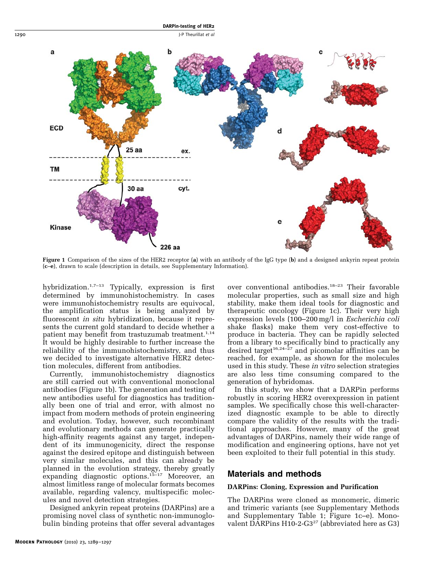# DARPin-testing of HER2

<span id="page-1-0"></span>1290 **J-P Theurillat et al.** 



Figure 1 Comparison of the sizes of the HER2 receptor (a) with an antibody of the IgG type (b) and a designed ankyrin repeat protein (c–e), drawn to scale (description in details, see Supplementary Information).

hybridization. $1,7-13$  Typically, expression is first determined by immunohistochemistry. In cases were immunohistochemistry results are equivocal, the amplification status is being analyzed by fluorescent in situ hybridization, because it represents the current gold standard to decide whether a patient may benefit from trastuzumab treatment.<sup>[1,14](#page-7-0)</sup> It would be highly desirable to further increase the reliability of the immunohistochemistry, and thus we decided to investigate alternative HER2 detection molecules, different from antibodies.

Currently, immunohistochemistry diagnostics are still carried out with conventional monoclonal antibodies (Figure 1b). The generation and testing of new antibodies useful for diagnostics has traditionally been one of trial and error, with almost no impact from modern methods of protein engineering and evolution. Today, however, such recombinant and evolutionary methods can generate practically high-affinity reagents against any target, independent of its immunogenicity, direct the response against the desired epitope and distinguish between very similar molecules, and this can already be planned in the evolution strategy, thereby greatly expanding diagnostic options.[15–17](#page-8-0) Moreover, an almost limitless range of molecular formats becomes available, regarding valency, multispecific molecules and novel detection strategies.

Designed ankyrin repeat proteins (DARPins) are a promising novel class of synthetic non-immunoglobulin binding proteins that offer several advantages

over conventional antibodies.[18–23](#page-8-0) Their favorable molecular properties, such as small size and high stability, make them ideal tools for diagnostic and therapeutic oncology (Figure 1c). Their very high expression levels (100–200 mg/l in Escherichia coli shake flasks) make them very cost-effective to produce in bacteria. They can be rapidly selected from a library to specifically bind to practically any desired target<sup>[16,24–27](#page-8-0)</sup> and picomolar affinities can be reached, for example, as shown for the molecules used in this study. These in vitro selection strategies are also less time consuming compared to the generation of hybridomas.

In this study, we show that a DARPin performs robustly in scoring HER2 overexpression in patient samples. We specifically chose this well-characterized diagnostic example to be able to directly compare the validity of the results with the traditional approaches. However, many of the great advantages of DARPins, namely their wide range of modification and engineering options, have not yet been exploited to their full potential in this study.

## Materials and methods

#### DARPins: Cloning, Expression and Purification

The DARPins were cloned as monomeric, dimeric and trimeric variants (see Supplementary Methods and Supplementary Table 1; Figure 1c–e). Monovalent  $\overline{D}$ ARPins H10-2-G3<sup>[27](#page-8-0)</sup> (abbreviated here as G3)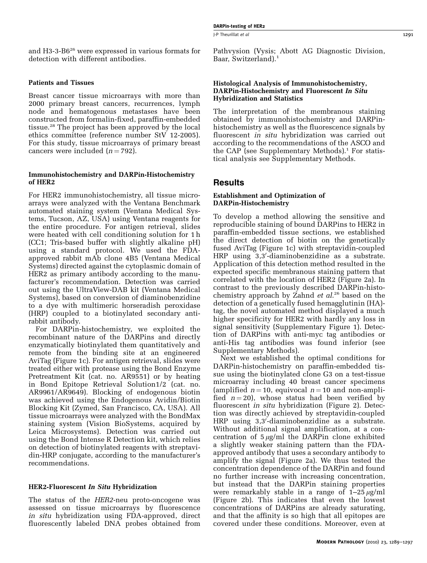and H3-3-B6[26](#page-8-0) were expressed in various formats for detection with different antibodies.

#### Patients and Tissues

Breast cancer tissue microarrays with more than 2000 primary breast cancers, recurrences, lymph node and hematogenous metastases have been constructed from formalin-fixed, paraffin-embedded tissue.[28](#page-8-0) The project has been approved by the local ethics committee (reference number StV 12-2005). For this study, tissue microarrays of primary breast cancers were included  $(n = 792)$ .

#### Immunohistochemistry and DARPin-Histochemistry of HER2

For HER2 immunohistochemistry, all tissue microarrays were analyzed with the Ventana Benchmark automated staining system (Ventana Medical Systems, Tucson, AZ, USA) using Ventana reagents for the entire procedure. For antigen retrieval, slides were heated with cell conditioning solution for 1 h (CC1; Tris-based buffer with slightly alkaline pH) using a standard protocol. We used the FDAapproved rabbit mAb clone 4B5 (Ventana Medical Systems) directed against the cytoplasmic domain of HER2 as primary antibody according to the manufacturer's recommendation. Detection was carried out using the UltraView-DAB kit (Ventana Medical Systems), based on conversion of diaminobenzidine to a dye with multimeric horseradish peroxidase (HRP) coupled to a biotinylated secondary antirabbit antibody.

For DARPin-histochemistry, we exploited the recombinant nature of the DARPins and directly enzymatically biotinylated them quantitatively and remote from the binding site at an engineered AviTag [\(Figure 1c\)](#page-1-0). For antigen retrieval, slides were treated either with protease using the Bond Enzyme Pretreatment Kit (cat. no. AR9551) or by heating in Bond Epitope Retrieval Solution1/2 (cat. no. AR9961/AR9649). Blocking of endogenous biotin was achieved using the Endogenous Avidin/Biotin Blocking Kit (Zymed, San Francisco, CA, USA). All tissue microarrays were analyzed with the BondMax staining system (Vision BioSystems, acquired by Leica Microsystems). Detection was carried out using the Bond Intense R Detection kit, which relies on detection of biotinylated reagents with streptavidin-HRP conjugate, according to the manufacturer's recommendations.

#### HER2-Fluorescent In Situ Hybridization

The status of the HER2-neu proto-oncogene was assessed on tissue microarrays by fluorescence in situ hybridization using FDA-approved, direct fluorescently labeled DNA probes obtained from Pathvysion (Vysis; Abott AG Diagnostic Division, Baar, Switzerland).<sup>[1](#page-7-0)</sup>

#### Histological Analysis of Immunohistochemistry, DARPin-Histochemistry and Fluorescent In Situ Hybridization and Statistics

The interpretation of the membranous staining obtained by immunohistochemistry and DARPinhistochemistry as well as the fluorescence signals by fluorescent in situ hybridization was carried out according to the recommendations of the ASCO and the CAP (see Supplementary Methods).<sup>[1](#page-7-0)</sup> For statistical analysis see Supplementary Methods.

## Results

#### Establishment and Optimization of DARPin-Histochemistry

To develop a method allowing the sensitive and reproducible staining of bound DARPins to HER2 in paraffin-embedded tissue sections, we established the direct detection of biotin on the genetically fused AviTag [\(Figure 1c\)](#page-1-0) with streptavidin-coupled HRP using 3,3'-diaminobenzidine as a substrate. Application of this detection method resulted in the expected specific membranous staining pattern that correlated with the location of HER2 ([Figure 2a\)](#page-3-0). In contrast to the previously described DARPin-histochemistry approach by Zahnd *et al.*<sup>[26](#page-8-0)</sup> based on the detection of a genetically fused hemagglutinin (HA) tag, the novel automated method displayed a much higher specificity for HER2 with hardly any loss in signal sensitivity (Supplementary Figure 1). Detection of DARPins with anti-myc tag antibodies or anti-His tag antibodies was found inferior (see Supplementary Methods).

Next we established the optimal conditions for DARPin-histochemistry on paraffin-embedded tissue using the biotinylated clone G3 on a test-tissue microarray including 40 breast cancer specimens (amplified  $n = 10$ , equivocal  $n = 10$  and non-amplified  $n = 20$ , whose status had been verified by fluorescent in situ hybridization [\(Figure 2](#page-3-0)). Detection was directly achieved by streptavidin-coupled HRP using 3,3'-diaminobenzidine as a substrate. Without additional signal amplification, at a concentration of  $5 \mu g/ml$  the DARPin clone exhibited a slightly weaker staining pattern than the FDAapproved antibody that uses a secondary antibody to amplify the signal ([Figure 2a](#page-3-0)). We thus tested the concentration dependence of the DARPin and found no further increase with increasing concentration, but instead that the DARPin staining properties were remarkably stable in a range of 1–25  $\mu$ g/ml [\(Figure 2b\)](#page-3-0). This indicates that even the lowest concentrations of DARPins are already saturating, and that the affinity is so high that all epitopes are covered under these conditions. Moreover, even at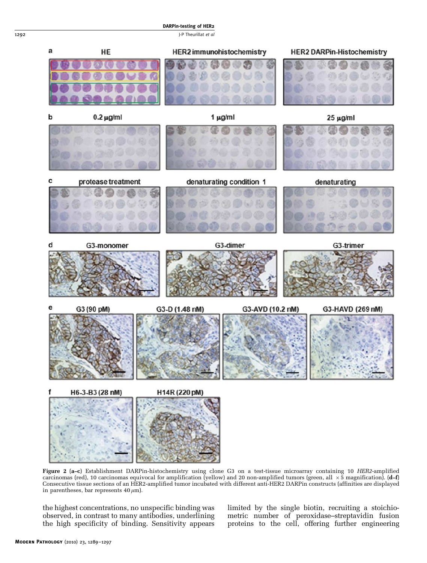<span id="page-3-0"></span>1292 J-P Theurillat et al



Figure 2 (a–c) Establishment DARPin-histochemistry using clone G3 on a test-tissue microarray containing 10 HER2-amplified carcinomas (red), 10 carcinomas equivocal for amplification (yellow) and 20 non-amplified tumors (green, all  $\,\times$  5 magnification). (**d–f**) Consecutive tissue sections of an HER2-amplified tumor incubated with different anti-HER2 DARPin constructs (affinities are displayed in parentheses, bar represents  $40 \,\mu\text{m}$ ).

the highest concentrations, no unspecific binding was observed, in contrast to many antibodies, underlining the high specificity of binding. Sensitivity appears limited by the single biotin, recruiting a stoichiometric number of peroxidase–streptavidin fusion proteins to the cell, offering further engineering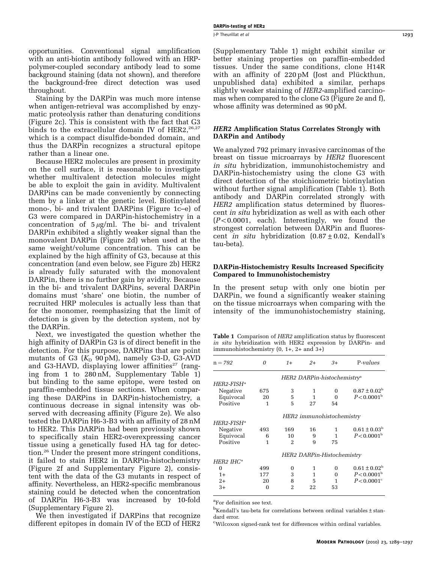<span id="page-4-0"></span>opportunities. Conventional signal amplification with an anti-biotin antibody followed with an HRPpolymer-coupled secondary antibody lead to some background staining (data not shown), and therefore the background-free direct detection was used throughout.

Staining by the DARPin was much more intense when antigen-retrieval was accomplished by enzymatic proteolysis rather than denaturing conditions [\(Figure 2c\)](#page-3-0). This is consistent with the fact that G3 binds to the extracellular domain IV of HER2,  $26,27$ which is a compact disulfide-bonded domain, and thus the DARPin recognizes a structural epitope rather than a linear one.

Because HER2 molecules are present in proximity on the cell surface, it is reasonable to investigate whether multivalent detection molecules might be able to exploit the gain in avidity. Multivalent DARPins can be made conveniently by connecting them by a linker at the genetic level. Biotinylated mono-, bi- and trivalent DARPins [\(Figure 1c–e](#page-1-0)) of G3 were compared in DARPin-histochemistry in a concentration of  $5 \mu g/ml$ . The bi- and trivalent DARPin exhibited a slightly weaker signal than the monovalent DARPin [\(Figure 2d](#page-3-0)) when used at the same weight/volume concentration. This can be explained by the high affinity of G3, because at this concentration (and even below, see [Figure 2b\)](#page-3-0) HER2 is already fully saturated with the monovalent DARPin, there is no further gain by avidity. Because in the bi- and trivalent DARPins, several DARPin domains must 'share' one biotin, the number of recruited HRP molecules is actually less than that for the monomer, reemphasizing that the limit of detection is given by the detection system, not by the DARPin.

Next, we investigated the question whether the high affinity of DARPin G3 is of direct benefit in the detection. For this purpose, DARPins that are point mutants of G3  $(K_D 90 pM)$ , namely G3-D, G3-AVD and G3-HAVD, displaying lower affinities<sup>[27](#page-8-0)</sup> (ranging from 1 to 280 nM, Supplementary Table 1) but binding to the same epitope, were tested on paraffin-embedded tissue sections. When comparing these DARPins in DARPin-histochemistry, a continuous decrease in signal intensity was observed with decreasing affinity ([Figure 2e](#page-3-0)). We also tested the DARPin H6-3-B3 with an affinity of 28 nM to HER2. This DARPin had been previously shown to specifically stain HER2-overexpressing cancer tissue using a genetically fused HA tag for detection.[26](#page-8-0) Under the present more stringent conditions, it failed to stain HER2 in DARPin-histochemistry [\(Figure 2f](#page-3-0) and Supplementary Figure 2), consistent with the data of the G3 mutants in respect of affinity. Nevertheless, an HER2-specific membranous staining could be detected when the concentration of DARPin H6-3-B3 was increased by 10-fold (Supplementary Figure 2).

We then investigated if DARPins that recognize different epitopes in domain IV of the ECD of HER2 I-P Theurillat et al 203

(Supplementary Table 1) might exhibit similar or better staining properties on paraffin-embedded tissues. Under the same conditions, clone H14R with an affinity of  $220 \text{ pM}$  (Jost and Plückthun, unpublished data) exhibited a similar, perhaps slightly weaker staining of HER2-amplified carcinomas when compared to the clone G3 ([Figure 2e and f\)](#page-3-0), whose affinity was determined as 90 pM.

#### HER2 Amplification Status Correlates Strongly with DARPin and Antibody

We analyzed 792 primary invasive carcinomas of the breast on tissue microarrays by HER2 fluorescent in situ hybridization, immunohistochemistry and DARPin-histochemistry using the clone G3 with direct detection of the stoichiometric biotinylation without further signal amplification (Table 1). Both antibody and DARPin correlated strongly with HER2 amplification status determined by fluorescent in situ hybridization as well as with each other  $(P<0.0001$ , each). Interestingly, we found the strongest correlation between DARPin and fluorescent in situ hybridization  $(0.87 \pm 0.02,$  Kendall's tau-beta).

#### DARPin-Histochemistry Results Increased Specificity Compared to Immunohistochemistry

In the present setup with only one biotin per DARPin, we found a significantly weaker staining on the tissue microarrays when comparing with the intensity of the immunohistochemistry staining,

Table 1 Comparison of HER2 amplification status by fluorescent in situ hybridization with HER2 expression by DARPin- and immunohistochemistry  $(0, 1+, 2+$  and  $3+)$ 

| n                                       | $1+$ | $2^{+}$ | $3+$     | P-values             |  |
|-----------------------------------------|------|---------|----------|----------------------|--|
| HER2 DARPin-histochemistry <sup>a</sup> |      |         |          |                      |  |
|                                         |      |         |          |                      |  |
| 675                                     | 3    | 1       | 0        | $0.87 \pm 0.02^b$    |  |
| 20                                      | 5    | 1       | $\Omega$ | $P < 0.0001^{\rm b}$ |  |
| 1                                       | 5    | 27      | 54       |                      |  |
| HER2 immunohistochemistry               |      |         |          |                      |  |
|                                         |      |         |          |                      |  |
| 493                                     | 169  | 16      | 1        | $0.61 \pm 0.03^b$    |  |
| 6                                       | 10   | 9       | 1        | $P < 0.0001^{\rm b}$ |  |
| 1                                       | 2    | 9       | 75       |                      |  |
| HER2 DARPin-Histochemistry              |      |         |          |                      |  |
|                                         |      |         |          |                      |  |
| 499                                     | 0    | 1       | 0        | $0.61 \pm 0.02^b$    |  |
| 177                                     | 3    | 1       | $\Omega$ | $P < 0.0001^{\rm b}$ |  |
| 20                                      | 8    | 5       | 1        | $P < 0.0001^{\circ}$ |  |
| 0                                       | 2    | 22      | 53       |                      |  |
|                                         |      |         |          |                      |  |

a For definition see text.

 $^{\rm b}$ Kendall's tau-beta for correlations between ordinal variables  $\pm$  standard error.

c Wilcoxon signed-rank test for differences within ordinal variables.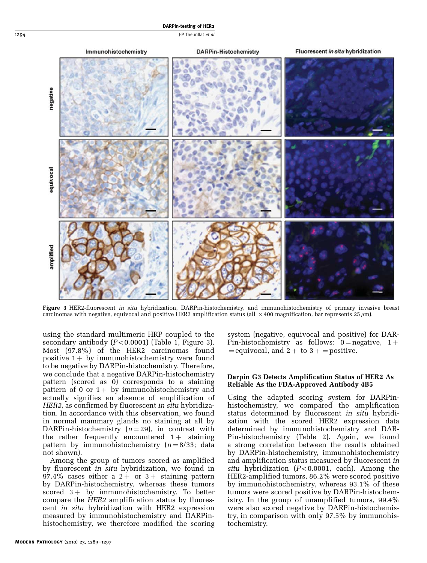<span id="page-5-0"></span>1294 J-P Theurillat et al.



Figure 3 HER2-fluorescent in situ hybridization, DARPin-histochemistry, and immunohistochemistry of primary invasive breast carcinomas with negative, equivocal and positive HER2 amplification status (all  $~\times$  400 magnification, bar represents 25  $\mu$ m).

using the standard multimeric HRP coupled to the secondary antibody  $(P<0.0001)$  ([Table 1](#page-4-0), Figure 3). Most (97.8%) of the HER2 carcinomas found positive  $1+$  by immunohistochemistry were found to be negative by DARPin-histochemistry. Therefore, we conclude that a negative DARPin-histochemistry pattern (scored as 0) corresponds to a staining pattern of 0 or  $1+$  by immunohistochemistry and actually signifies an absence of amplification of HER2, as confirmed by fluorescent in situ hybridization. In accordance with this observation, we found in normal mammary glands no staining at all by DARPin-histochemistry  $(n = 29)$ , in contrast with the rather frequently encountered  $1+$  staining pattern by immunohistochemistry  $(n = 8/33;$  data not shown).

Among the group of tumors scored as amplified by fluorescent in situ hybridization, we found in 97.4% cases either a  $2 +$  or  $3 +$  staining pattern by DARPin-histochemistry, whereas these tumors scored  $3+$  by immunohistochemistry. To better compare the HER2 amplification status by fluorescent in situ hybridization with HER2 expression measured by immunohistochemistry and DARPinhistochemistry, we therefore modified the scoring system (negative, equivocal and positive) for DAR-Pin-histochemistry as follows:  $0 =$  negative,  $1 +$  $=$  equivocal, and 2 + to 3 +  $=$  positive.

#### Darpin G3 Detects Amplification Status of HER2 As Reliable As the FDA-Approved Antibody 4B5

Using the adapted scoring system for DARPinhistochemistry, we compared the amplification status determined by fluorescent in situ hybridization with the scored HER2 expression data determined by immunohistochemistry and DAR-Pin-histochemistry [\(Table 2\)](#page-6-0). Again, we found a strong correlation between the results obtained by DARPin-histochemistry, immunohistochemistry and amplification status measured by fluorescent in situ hybridization  $(P<0.0001,$  each). Among the HER2-amplified tumors, 86.2% were scored positive by immunohistochemistry, whereas 93.1% of these tumors were scored positive by DARPin-histochemistry. In the group of unamplified tumors, 99.4% were also scored negative by DARPin-histochemistry, in comparison with only 97.5% by immunohistochemistry.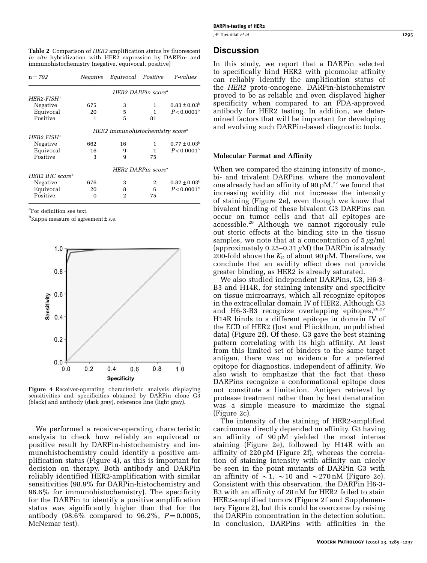<span id="page-6-0"></span>Table 2 Comparison of HER2 amplification status by fluorescent in situ hybridization with HER2 expression by DARPin- and immunohistochemistry (negative, equivocal, positive)

| $n = 792$                   | Negative                                     | Equivocal Positive |    | P-values                  |  |  |
|-----------------------------|----------------------------------------------|--------------------|----|---------------------------|--|--|
|                             | $HER2\ DARP$ in score <sup>a</sup>           |                    |    |                           |  |  |
| $HER2-FISH^a$               |                                              |                    |    |                           |  |  |
| Negative                    | 675                                          | 3                  | 1  | $0.83 \pm 0.03^{\circ}$   |  |  |
| Equivocal                   | 20                                           | 5                  | 1  | $P < 0.0001$ <sup>b</sup> |  |  |
| Positive                    | 1                                            | 5                  | 81 |                           |  |  |
|                             | HER2 immunohistochemistry score <sup>a</sup> |                    |    |                           |  |  |
| $HER2-FISHa$                |                                              |                    |    |                           |  |  |
| Negative                    | 662                                          | 16                 | 1  | $0.77 \pm 0.03^b$         |  |  |
| Equivocal                   | 16                                           | 9                  | 1  | P < 0.0001 <sup>b</sup>   |  |  |
| Positive                    | 3                                            | 9                  | 75 |                           |  |  |
|                             | HER2 DARPin score <sup>a</sup>               |                    |    |                           |  |  |
| HER2 IHC score <sup>a</sup> |                                              |                    |    |                           |  |  |
| Negative                    | 676                                          | 3                  | 2  | $0.82 \pm 0.03^{b}$       |  |  |
| Equivocal                   | 20                                           | 8                  | 6  | P < 0.0001 <sup>b</sup>   |  |  |
| Positive                    | 0                                            | 2                  | 75 |                           |  |  |

a For definition see text.

 $^{\rm b}$ Kappa measure of agreement  $\pm$  s.e.



Figure 4 Receiver-operating characteristic analysis displaying sensitivities and specificities obtained by DARPin clone G3 (black) and antibody (dark gray), reference line (light gray).

We performed a receiver-operating characteristic analysis to check how reliably an equivocal or positive result by DARPin-histochemistry and immunohistochemistry could identify a positive amplification status (Figure 4), as this is important for decision on therapy. Both antibody and DARPin reliably identified HER2-amplification with similar sensitivities (98.9% for DARPin-histochemistry and 96.6% for immunohistochemistry). The specificity for the DARPin to identify a positive amplification status was significantly higher than that for the antibody (98.6% compared to 96.2%,  $P = 0.0005$ , McNemar test).

# **Discussion**

In this study, we report that a DARPin selected to specifically bind HER2 with picomolar affinity can reliably identify the amplification status of the HER2 proto-oncogene. DARPin-histochemistry proved to be as reliable and even displayed higher specificity when compared to an FDA-approved antibody for HER2 testing. In addition, we determined factors that will be important for developing and evolving such DARPin-based diagnostic tools.

#### Molecular Format and Affinity

When we compared the staining intensity of mono-, bi- and trivalent DARPins, where the monovalent one already had an affinity of  $90 \text{ pM}$ ,<sup>[27](#page-8-0)</sup> we found that increasing avidity did not increase the intensity of staining [\(Figure 2e](#page-3-0)), even though we know that bivalent binding of these bivalent G3 DARPins can occur on tumor cells and that all epitopes are accessible.<sup>[29](#page-8-0)</sup> Although we cannot rigorously rule out steric effects at the binding site in the tissue samples, we note that at a concentration of  $5 \mu g/ml$ (approximately  $0.25-0.31 \mu M$ ) the DARPin is already 200-fold above the  $K<sub>D</sub>$  of about 90 pM. Therefore, we conclude that an avidity effect does not provide greater binding, as HER2 is already saturated.

We also studied independent DARPins, G3, H6-3- B3 and H14R, for staining intensity and specificity on tissue microarrays, which all recognize epitopes in the extracellular domain IV of HER2. Although G3 and H6-3-B3 recognize overlapping epitopes,  $26.27$ H14R binds to a different epitope in domain IV of the ECD of HER2 (Jost and Plückthun, unpublished data) ([Figure 2f](#page-3-0)). Of these, G3 gave the best staining pattern correlating with its high affinity. At least from this limited set of binders to the same target antigen, there was no evidence for a preferred epitope for diagnostics, independent of affinity. We also wish to emphasize that the fact that these DARPins recognize a conformational epitope does not constitute a limitation. Antigen retrieval by protease treatment rather than by heat denaturation was a simple measure to maximize the signal [\(Figure 2c](#page-3-0)).

The intensity of the staining of HER2-amplified carcinomas directly depended on affinity. G3 having an affinity of 90 pM yielded the most intense staining [\(Figure 2e](#page-3-0)), followed by H14R with an affinity of 220 pM [\(Figure 2f](#page-3-0)), whereas the correlation of staining intensity with affinity can nicely be seen in the point mutants of DARPin G3 with an affinity of  $\sim$  1,  $\sim$  10 and  $\sim$  270 nM [\(Figure 2e\)](#page-3-0). Consistent with this observation, the DARPin H6-3- B3 with an affinity of 28 nM for HER2 failed to stain HER2-amplified tumors [\(Figure 2f](#page-3-0) and Supplementary Figure 2), but this could be overcome by raising the DARPin concentration in the detection solution. In conclusion, DARPins with affinities in the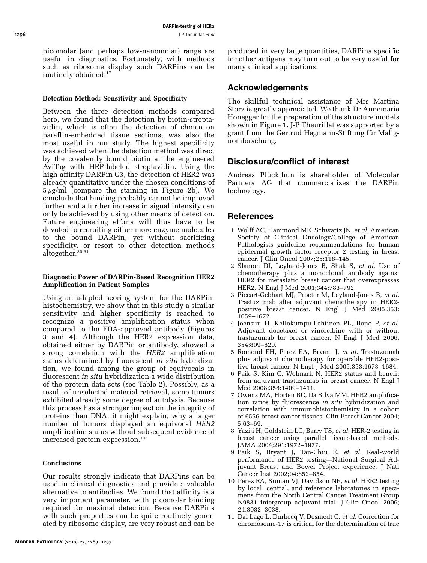<span id="page-7-0"></span>picomolar (and perhaps low-nanomolar) range are useful in diagnostics. Fortunately, with methods such as ribosome display such DARPins can be routinely obtained.<sup>[17](#page-8-0)</sup>

#### Detection Method: Sensitivity and Specificity

Between the three detection methods compared here, we found that the detection by biotin-streptavidin, which is often the detection of choice on paraffin-embedded tissue sections, was also the most useful in our study. The highest specificity was achieved when the detection method was direct by the covalently bound biotin at the engineered AviTag with HRP-labeled streptavidin. Using the high-affinity DARPin G3, the detection of HER2 was already quantitative under the chosen conditions of  $5 \mu g/ml$  (compare the staining in [Figure 2b](#page-3-0)). We conclude that binding probably cannot be improved further and a further increase in signal intensity can only be achieved by using other means of detection. Future engineering efforts will thus have to be devoted to recruiting either more enzyme molecules to the bound DARPin, yet without sacrificing specificity, or resort to other detection methods altogether.<sup>30,31</sup>

#### Diagnostic Power of DARPin-Based Recognition HER2 Amplification in Patient Samples

Using an adapted scoring system for the DARPinhistochemistry, we show that in this study a similar sensitivity and higher specificity is reached to recognize a positive amplification status when compared to the FDA-approved antibody ([Figures](#page-5-0) [3 and 4\)](#page-5-0). Although the HER2 expression data, obtained either by DARPin or antibody, showed a strong correlation with the HER2 amplification status determined by fluorescent *in situ* hybridization, we found among the group of equivocals in fluorescent in situ hybridization a wide distribution of the protein data sets (see [Table 2\)](#page-6-0). Possibly, as a result of unselected material retrieval, some tumors exhibited already some degree of autolysis. Because this process has a stronger impact on the integrity of proteins than DNA, it might explain, why a larger number of tumors displayed an equivocal HER2 amplification status without subsequent evidence of increased protein expression.<sup>[14](#page-8-0)</sup>

## **Conclusions**

Our results strongly indicate that DARPins can be used in clinical diagnostics and provide a valuable alternative to antibodies. We found that affinity is a very important parameter, with picomolar binding required for maximal detection. Because DARPins with such properties can be quite routinely generated by ribosome display, are very robust and can be

produced in very large quantities, DARPins specific for other antigens may turn out to be very useful for many clinical applications.

# Acknowledgements

The skillful technical assistance of Mrs Martina Storz is greatly appreciated. We thank Dr Annemarie Honegger for the preparation of the structure models shown in [Figure 1.](#page-1-0) J-P Theurillat was supported by a grant from the Gertrud Hagmann-Stiftung für Malignomforschung.

# Disclosure/conflict of interest

Andreas Plückthun is shareholder of Molecular Partners AG that commercializes the DARPin technology.

# References

- 1 Wolff AC, Hammond ME, Schwartz JN, et al. American Society of Clinical Oncology/College of American Pathologists guideline recommendations for human epidermal growth factor receptor 2 testing in breast cancer. J Clin Oncol 2007;25:118–145.
- 2 Slamon DJ, Leyland-Jones B, Shak S, et al. Use of chemotherapy plus a monoclonal antibody against HER2 for metastatic breast cancer that overexpresses HER2. N Engl J Med 2001;344:783–792.
- 3 Piccart-Gebhart MJ, Procter M, Leyland-Jones B, et al. Trastuzumab after adjuvant chemotherapy in HER2 positive breast cancer. N Engl J Med 2005;353: 1659–1672.
- 4 Joensuu H, Kellokumpu-Lehtinen PL, Bono P, et al. Adjuvant docetaxel or vinorelbine with or without trastuzumab for breast cancer. N Engl J Med 2006; 354:809–820.
- 5 Romond EH, Perez EA, Bryant J, et al. Trastuzumab plus adjuvant chemotherapy for operable HER2-positive breast cancer. N Engl J Med 2005;353:1673–1684.
- 6 Paik S, Kim C, Wolmark N. HER2 status and benefit from adjuvant trastuzumab in breast cancer. N Engl J Med 2008;358:1409–1411.
- 7 Owens MA, Horten BC, Da Silva MM. HER2 amplification ratios by fluorescence in situ hybridization and correlation with immunohistochemistry in a cohort of 6556 breast cancer tissues. Clin Breast Cancer 2004; 5:63–69.
- 8 Yaziji H, Goldstein LC, Barry TS, et al. HER-2 testing in breast cancer using parallel tissue-based methods. JAMA 2004;291:1972–1977.
- 9 Paik S, Bryant J, Tan-Chiu E, et al. Real-world performance of HER2 testing—National Surgical Adjuvant Breast and Bowel Project experience. J Natl Cancer Inst 2002;94:852–854.
- 10 Perez EA, Suman VJ, Davidson NE, et al. HER2 testing by local, central, and reference laboratories in specimens from the North Central Cancer Treatment Group N9831 intergroup adjuvant trial. J Clin Oncol 2006; 24:3032–3038.
- 11 Dal Lago L, Durbecq V, Desmedt C, et al. Correction for chromosome-17 is critical for the determination of true